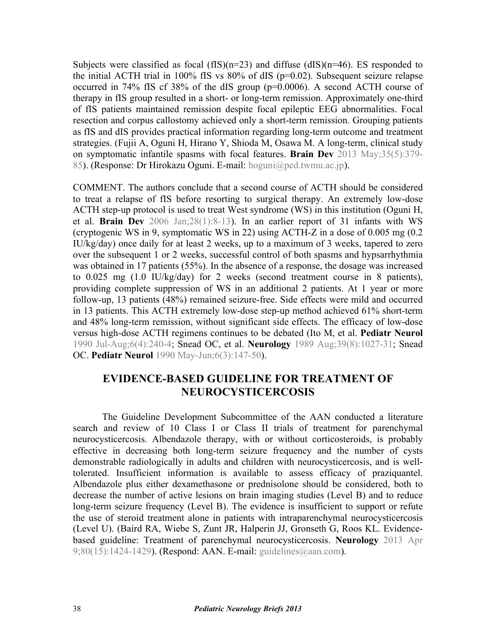Subjects were classified as focal  $(fIS)(n=23)$  and diffuse  $(dIS)(n=46)$ . ES responded to the initial ACTH trial in 100% fIS vs 80% of dIS (p=0.02). Subsequent seizure relapse occurred in 74% fIS cf 38% of the dIS group (p=0.0006). A second ACTH course of therapy in fIS group resulted in a short- or long-term remission. Approximately one-third of fIS patients maintained remission despite focal epileptic EEG abnormalities. Focal resection and corpus callostomy achieved only a short-term remission. Grouping patients as fIS and dIS provides practical information regarding long-term outcome and treatment [strategies. \(Fujii A, Oguni H, Hirano Y, Shioda M, Osawa M. A long-term, clinical study](http://dx.doi.org/10.1016/j.braindev.2012.06.008) on symptomatic infantile spasms with focal features. **Brain Dev** 2013 May;35(5):379- 85). (Response: Dr Hirokazu Oguni. E-mail: hoguni@ped.twmu.ac.jp).

COMMENT. The authors conclude that a second course of ACTH should be considered to treat a relapse of fIS before resorting to surgical therapy. An extremely low-dose [ACTH step-up protocol is used to treat West syndrome \(WS\) in this institution](http://dx.doi.org/10.1016/j.braindev.2005.02.010) (Oguni H, et al. **Brain Dev** 2006 Jan;28(1):8-13). In an earlier report of 31 infants with WS (cryptogenic WS in 9, symptomatic WS in 22) using ACTH-Z in a dose of 0.005 mg (0.2 IU/kg/day) once daily for at least 2 weeks, up to a maximum of 3 weeks, tapered to zero over the subsequent 1 or 2 weeks, successful control of both spasms and hypsarrhythmia was obtained in 17 patients (55%). In the absence of a response, the dosage was increased to 0.025 mg (1.0 IU/kg/day) for 2 weeks (second treatment course in 8 patients), providing complete suppression of WS in an additional 2 patients. At 1 year or more follow-up, 13 patients (48%) remained seizure-free. Side effects were mild and occurred in 13 patients. This ACTH extremely low-dose step-up method achieved 61% short-term and 48% long-term remission, without significant side effects. The efficacy of low-dose versus high-dose ACTH regimens continues to be debated (Ito M, et al. **[Pediatr Neurol](http://dx.doi.org/10.1016/0887-8994(90)90114-G)** [1990 Jul-Aug;6\(4\):240-4;](http://dx.doi.org/10.1016/0887-8994(90)90114-G) Snead OC, et al. **Neurology** [1989 Aug;39\(8\):1027-31](http://dx.doi.org/10.1212/WNL.39.8.1027); [Snead](http://dx.doi.org/10.1016/0887-8994(90)90054-5) OC. **Pediatr Neurol** [1990 May-Jun;6\(3\):147-50\)](http://dx.doi.org/10.1016/0887-8994(90)90054-5).

## **EVIDENCE-BASED GUIDELINE FOR TREATMENT OF NEUROCYSTICERCOSIS**

The Guideline Development Subcommittee of the AAN conducted a literature search and review of 10 Class I or Class II trials of treatment for parenchymal neurocysticercosis. Albendazole therapy, with or without corticosteroids, is probably effective in decreasing both long-term seizure frequency and the number of cysts demonstrable radiologically in adults and children with neurocysticercosis, and is welltolerated. Insufficient information is available to assess efficacy of praziquantel. Albendazole plus either dexamethasone or prednisolone should be considered, both to decrease the number of active lesions on brain imaging studies (Level B) and to reduce long-term seizure frequency (Level B). The evidence is insufficient to support or refute the use of steroid treatment alone in patients with intraparenchymal neurocysticercosis [\(Level U\). \(Baird RA, Wiebe S, Zunt JR, Halperin JJ, Gronseth G, Roos KL. Evidence](http://dx.doi.org/10.1212/WNL.0b013e31828c2f3e)based guideline: Treatment of parenchymal neurocysticercosis. **Neurology** 2013 Apr 9;80(15):1424-1429). (Respond: AAN. E-mail: guidelines@aan.com).